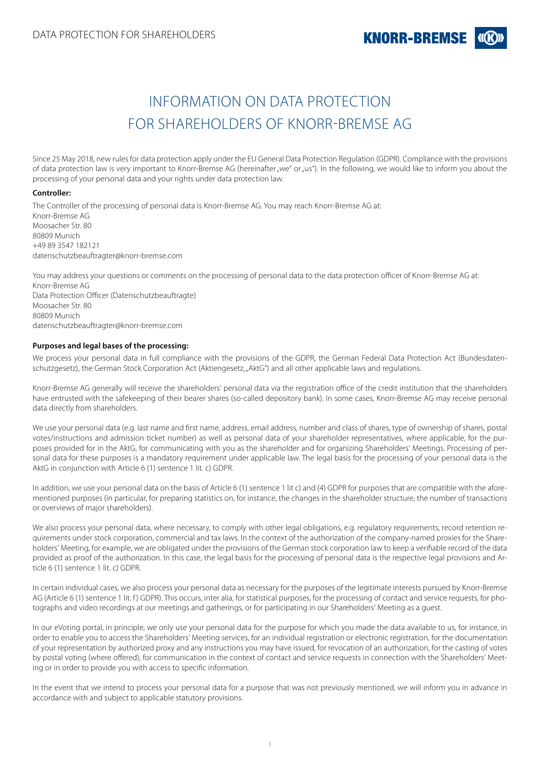# INFORMATION ON DATA PROTECTION FOR SHAREHOLDERS OF KNORR-BREMSE AG

Since 25 May 2018, new rules for data protection apply under the EU General Data Protection Regulation (GDPR). Compliance with the provisions of data protection law is very important to Knorr-Bremse AG (hereinafter "we" or "us"). In the following, we would like to inform you about the processing of your personal data and your rights under data protection law.

## **Controller:**

The Controller of the processing of personal data is Knorr-Bremse AG. You may reach Knorr-Bremse AG at: Knorr-Bremse AG Moosacher Str. 80 80809 Munich +49 89 3547 182121 datenschutzbeauftragter@knorr-bremse.com

You may address your questions or comments on the processing of personal data to the data protection officer of Knorr-Bremse AG at: Knorr-Bremse AG Data Protection Officer (Datenschutzbeauftragte) Moosacher Str. 80 80809 Munich datenschutzbeauftragter@knorr-bremse.com

## **Purposes and legal bases of the processing:**

We process your personal data in full compliance with the provisions of the GDPR, the German Federal Data Protection Act (Bundesdatenschutzgesetz), the German Stock Corporation Act (Aktiengesetz, "AktG") and all other applicable laws and regulations.

Knorr-Bremse AG generally will receive the shareholders' personal data via the registration office of the credit institution that the shareholders have entrusted with the safekeeping of their bearer shares (so-called depository bank). In some cases, Knorr-Bremse AG may receive personal data directly from shareholders.

We use your personal data (e.g. last name and first name, address, email address, number and class of shares, type of ownership of shares, postal votes/instructions and admission ticket number) as well as personal data of your shareholder representatives, where applicable, for the purposes provided for in the AktG, for communicating with you as the shareholder and for organizing Shareholders' Meetings. Processing of personal data for these purposes is a mandatory requirement under applicable law. The legal basis for the processing of your personal data is the AktG in conjunction with Article 6 (1) sentence 1 lit. c) GDPR.

In addition, we use your personal data on the basis of Article 6 (1) sentence 1 lit c) and (4) GDPR for purposes that are compatible with the aforementioned purposes (in particular, for preparing statistics on, for instance, the changes in the shareholder structure, the number of transactions or overviews of major shareholders).

We also process your personal data, where necessary, to comply with other legal obligations, e.g. regulatory requirements, record retention requirements under stock corporation, commercial and tax laws. In the context of the authorization of the company-named proxies for the Shareholders' Meeting, for example, we are obligated under the provisions of the German stock corporation law to keep a verifiable record of the data provided as proof of the authorization. In this case, the legal basis for the processing of personal data is the respective legal provisions and Article 6 (1) sentence 1 lit. c) GDPR.

In certain individual cases, we also process your personal data as necessary for the purposes of the legitimate interests pursued by Knorr-Bremse AG (Article 6 (1) sentence 1 lit. f) GDPR). This occurs, inter alia, for statistical purposes, for the processing of contact and service requests, for photographs and video recordings at our meetings and gatherings, or for participating in our Shareholders' Meeting as a guest.

In our eVoting portal, in principle, we only use your personal data for the purpose for which you made the data available to us, for instance, in order to enable you to access the Shareholders' Meeting services, for an individual registration or electronic registration, for the documentation of your representation by authorized proxy and any instructions you may have issued, for revocation of an authorization, for the casting of votes by postal voting (where offered), for communication in the context of contact and service requests in connection with the Shareholders' Meeting or in order to provide you with access to specific information.

In the event that we intend to process your personal data for a purpose that was not previously mentioned, we will inform you in advance in accordance with and subject to applicable statutory provisions.